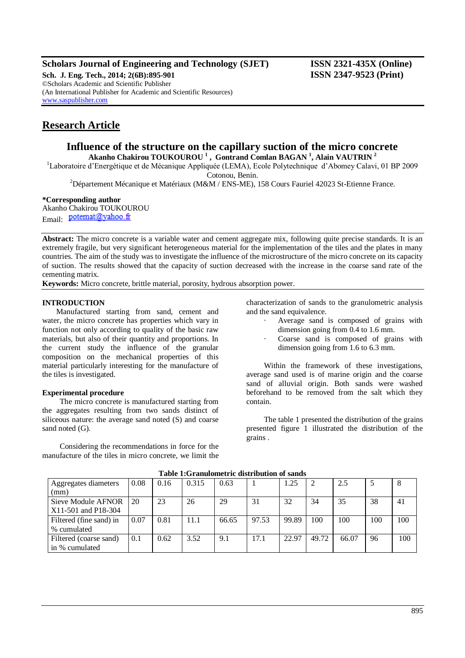# **Scholars Journal of Engineering and Technology (SJET) ISSN 2321-435X (Online)**

**Sch. J. Eng. Tech., 2014; 2(6B):895-901 ISSN 2347-9523 (Print)** ©Scholars Academic and Scientific Publisher (An International Publisher for Academic and Scientific Resources) [www.saspublisher.com](http://www.saspublisher.com/)

# **Research Article**

# **Influence of the structure on the capillary suction of the micro concrete Akanho Chakirou TOUKOUROU <sup>1</sup> , Gontrand Comlan BAGAN <sup>1</sup> , Alain VAUTRIN <sup>2</sup>**

<sup>1</sup>Laboratoire d'Energétique et de Mécanique Appliquée (LEMA), Ecole Polytechnique d'Abomey Calavi, 01 BP 2009

Cotonou, Benin.

<sup>2</sup>Département Mécanique et Matériaux (M&M / ENS-ME), 158 Cours Fauriel 42023 St-Etienne France.

### **\*Corresponding author**

Akanho Chakirou TOUKOUROU Email: potemat@yahoo.fr

**Abstract:** The micro concrete is a variable water and cement aggregate mix, following quite precise standards. It is an extremely fragile, but very significant heterogeneous material for the implementation of the tiles and the plates in many countries. The aim of the study was to investigate the influence of the microstructure of the micro concrete on its capacity of suction. The results showed that the capacity of suction decreased with the increase in the coarse sand rate of the cementing matrix.

**Keywords:** Micro concrete, brittle material, porosity, hydrous absorption power.

## **INTRODUCTION**

Manufactured starting from sand, cement and water, the micro concrete has properties which vary in function not only according to quality of the basic raw materials, but also of their quantity and proportions. In the current study the influence of the granular composition on the mechanical properties of this material particularly interesting for the manufacture of the tiles is investigated.

### **Experimental procedure**

The micro concrete is manufactured starting from the aggregates resulting from two sands distinct of siliceous nature: the average sand noted (S) and coarse sand noted (G).

Considering the recommendations in force for the manufacture of the tiles in micro concrete, we limit the characterization of sands to the granulometric analysis and the sand equivalence.

- Average sand is composed of grains with dimension going from 0.4 to 1.6 mm.
- Coarse sand is composed of grains with dimension going from 1.6 to 6.3 mm.

Within the framework of these investigations, average sand used is of marine origin and the coarse sand of alluvial origin. Both sands were washed beforehand to be removed from the salt which they contain.

The table 1 presented the distribution of the grains presented figure 1 illustrated the distribution of the grains .

| Aggregates diameters    | 0.08 | 0.16 | 0.315 | 0.63  |       | .25   |       | 2.5   |     |     |
|-------------------------|------|------|-------|-------|-------|-------|-------|-------|-----|-----|
| (mm)                    |      |      |       |       |       |       |       |       |     |     |
| Sieve Module AFNOR      | 20   | 23   | 26    | 29    | 31    | 32    | 34    | 35    | 38  | 41  |
| X11-501 and P18-304     |      |      |       |       |       |       |       |       |     |     |
| Filtered (fine sand) in | 0.07 | 0.81 | 11.1  | 66.65 | 97.53 | 99.89 | 100   | 100   | 100 | 100 |
| % cumulated             |      |      |       |       |       |       |       |       |     |     |
| Filtered (coarse sand)  | 0.1  | 0.62 | 3.52  | 9.1   | 17.1  | 22.97 | 49.72 | 66.07 | 96  | 100 |
| l in % cumulated        |      |      |       |       |       |       |       |       |     |     |

#### **Table 1:Granulometric distribution of sands**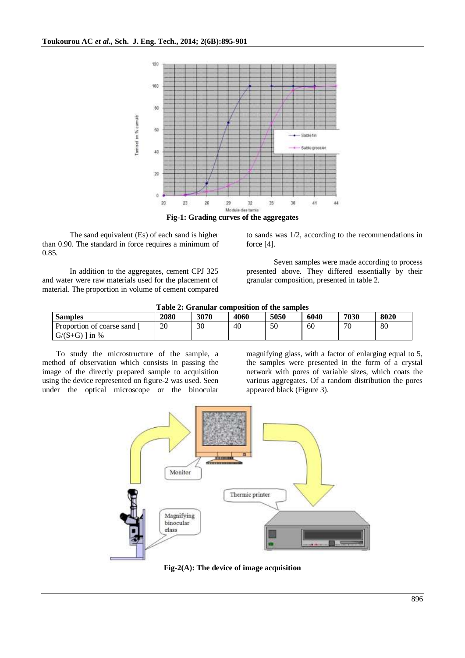

**Fig-1: Grading curves of the aggregates**

The sand equivalent (Es) of each sand is higher than 0.90. The standard in force requires a minimum of 0.85.

In addition to the aggregates, cement CPJ 325 and water were raw materials used for the placement of material. The proportion in volume of cement compared to sands was 1/2, according to the recommendations in force [4].

Seven samples were made according to process presented above. They differed essentially by their granular composition, presented in table 2.

|  | Table 2: Granular composition of the samples |
|--|----------------------------------------------|
|--|----------------------------------------------|

| <b>Samples</b>            | 2080 | 3070 | 4060 | 5050 | 6040 | 7030 | 8020 |
|---------------------------|------|------|------|------|------|------|------|
| Proportion of coarse sand | 20   | 30   | 40   | 50   | 60   | 70   | 80   |
| $G/(S+G)$   in %          |      |      |      |      |      |      |      |

To study the microstructure of the sample, a method of observation which consists in passing the image of the directly prepared sample to acquisition using the device represented on figure-2 was used. Seen under the optical microscope or the binocular magnifying glass, with a factor of enlarging equal to 5, the samples were presented in the form of a crystal network with pores of variable sizes, which coats the various aggregates. Of a random distribution the pores appeared black (Figure 3).



**Fig-2(A): The device of image acquisition**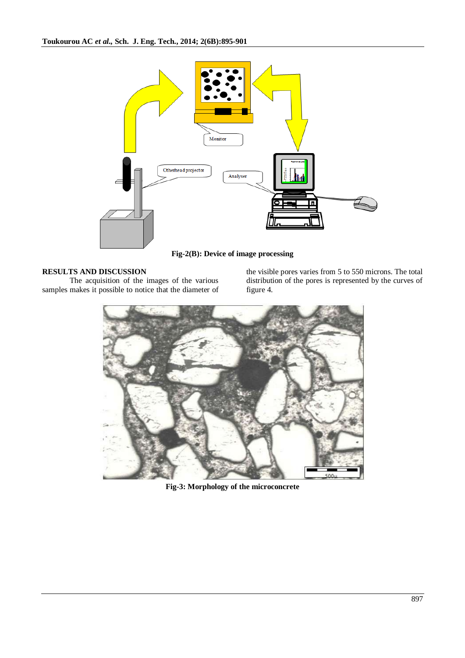

**Fig-2(B): Device of image processing**

# **RESULTS AND DISCUSSION**

The acquisition of the images of the various samples makes it possible to notice that the diameter of the visible pores varies from 5 to 550 microns. The total distribution of the pores is represented by the curves of figure 4.



**Fig-3: Morphology of the microconcrete**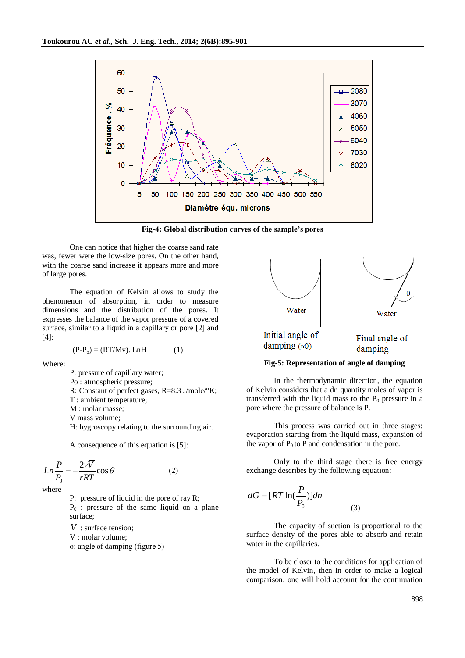

**Fig-4: Global distribution curves of the sample's pores**

One can notice that higher the coarse sand rate was, fewer were the low-size pores. On the other hand, with the coarse sand increase it appears more and more of large pores.

The equation of Kelvin allows to study the phenomenon of absorption, in order to measure dimensions and the distribution of the pores. It expresses the balance of the vapor pressure of a covered surface, similar to a liquid in a capillary or pore [2] and [4]:

$$
(P-Po) = (RT/Mv). LnH
$$
 (1)

Where:

P: pressure of capillary water;

Po : atmospheric pressure;

R: Constant of perfect gases, R=8.3 J/mole/°K;

T : ambient temperature;

M : molar masse:

V mass volume;

H: hygroscopy relating to the surrounding air.

A consequence of this equation is [5]:

$$
Ln\frac{P}{P_0} = -\frac{2v\overline{V}}{rRT}\cos\theta\tag{2}
$$

where

P: pressure of liquid in the pore of ray R;  $P_0$ : pressure of the same liquid on a plane surface;

 $\overline{V}$  : surface tension;

V : molar volume;

ɵ: angle of damping (figure 5)



# **Fig-5: Representation of angle of damping**

In the thermodynamic direction, the equation of Kelvin considers that a dn quantity moles of vapor is transferred with the liquid mass to the  $P_0$  pressure in a pore where the pressure of balance is P.

This process was carried out in three stages: evaporation starting from the liquid mass, expansion of the vapor of  $P_0$  to P and condensation in the pore.

Only to the third stage there is free energy exchange describes by the following equation:

$$
dG = [RT \ln(\frac{P}{P_0})]dn
$$
\n(3)

The capacity of suction is proportional to the surface density of the pores able to absorb and retain water in the capillaries.

To be closer to the conditions for application of the model of Kelvin, then in order to make a logical comparison, one will hold account for the continuation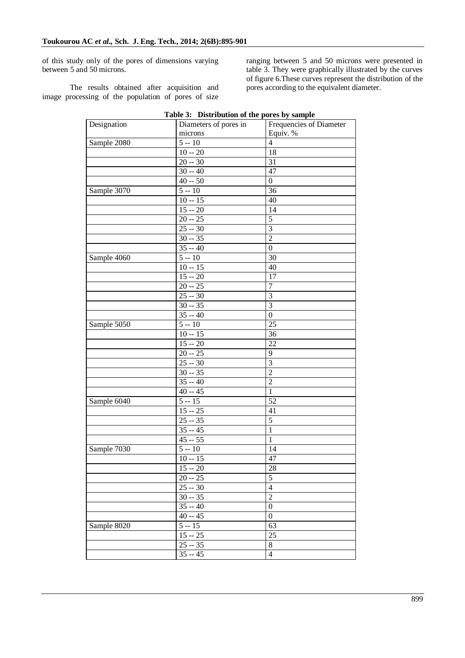of this study only of the pores of dimensions varying between 5 and 50 microns.

The results obtained after acquisition and image processing of the population of pores of size

ranging between 5 and 50 microns were presented in table 3. They were graphically illustrated by the curves of figure 6.These curves represent the distribution of the pores according to the equivalent diameter.

| Designation | rabic or Distribution or the ports by sumple<br>Diameters of pores in | Frequencies of Diameter |
|-------------|-----------------------------------------------------------------------|-------------------------|
|             | microns                                                               | Equiv. %                |
|             | $5 - 10$                                                              | $\overline{4}$          |
| Sample 2080 |                                                                       | 18                      |
|             | $10 - 20$                                                             |                         |
|             | $20 - 30$                                                             | 31                      |
|             | $30 - 40$                                                             | 47                      |
|             | $40 - 50$                                                             | $\boldsymbol{0}$        |
| Sample 3070 | $5 - 10$                                                              | 36                      |
|             | $10 - 15$                                                             | 40                      |
|             | $15 - 20$                                                             | 14                      |
|             | $20 - 25$                                                             | $\overline{5}$          |
|             | $25 - 30$                                                             | $\overline{3}$          |
|             | $30 - 35$                                                             | $\overline{2}$          |
|             | $35 - 40$                                                             | $\boldsymbol{0}$        |
| Sample 4060 | $5 - 10$                                                              | $\overline{30}$         |
|             | $10 - 15$                                                             | 40                      |
|             | $15 - 20$                                                             | 17                      |
|             | $20 - 25$                                                             | 7                       |
|             | $25 - 30$                                                             | 3                       |
|             | $30 - 35$                                                             | $\overline{3}$          |
|             | $35 - 40$                                                             | $\boldsymbol{0}$        |
| Sample 5050 | $5 - 10$                                                              | 25                      |
|             | $10 - 15$                                                             | 36                      |
|             | $\overline{15} - 20$                                                  | 22                      |
|             | $20 - 25$                                                             | 9                       |
|             | $25 - 30$                                                             | $\overline{3}$          |
|             | $30 - 35$                                                             | $\overline{2}$          |
|             | $35 - 40$                                                             | $\overline{2}$          |
|             | $40 - 45$                                                             | $\mathbf{1}$            |
|             | $5 - 15$                                                              | 52                      |
| Sample 6040 |                                                                       |                         |
|             | $15 - 25$                                                             | 41                      |
|             | $25 - 35$                                                             | $\overline{5}$          |
|             | $35 - 45$                                                             | $\mathbf{1}$            |
|             | $45 - 55$                                                             | $\mathbf{1}$            |
| Sample 7030 | $5 - 10$                                                              | 14                      |
|             | $10 - 15$                                                             | 47                      |
|             | $15 - 20$                                                             | 28                      |
|             | $20 - 25$                                                             | $\overline{5}$          |
|             | $25 - 30$                                                             | $\overline{4}$          |
|             | $30 - 35$                                                             | $\overline{2}$          |
|             | $35 - 40$                                                             | $\boldsymbol{0}$        |
|             | $40 - 45$                                                             | $\boldsymbol{0}$        |
| Sample 8020 | $5 - 15$                                                              | $\overline{63}$         |
|             | $15 - 25$                                                             | 25                      |
|             | $25 - 35$                                                             | $8\,$                   |
|             | $\frac{1}{35} - 45$                                                   | $\overline{4}$          |
|             |                                                                       |                         |

**Table 3: Distribution of the pores by sample**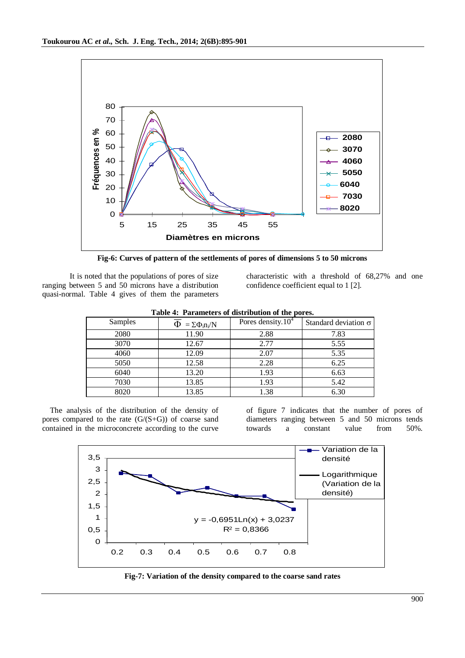

**Fig-6: Curves of pattern of the settlements of pores of dimensions 5 to 50 microns**

It is noted that the populations of pores of size ranging between 5 and 50 microns have a distribution quasi-normal. Table 4 gives of them the parameters characteristic with a threshold of 68,27% and one confidence coefficient equal to 1 [2].

| Tuble 4: Turningters of uptribution of the ports. |                              |                       |                             |  |  |  |  |
|---------------------------------------------------|------------------------------|-----------------------|-----------------------------|--|--|--|--|
| Samples                                           | $\Phi = \Sigma \Phi_i n_i/N$ | Pores density. $10^4$ | Standard deviation $\sigma$ |  |  |  |  |
| 2080                                              | 11.90                        | 2.88                  | 7.83                        |  |  |  |  |
| 3070                                              | 12.67                        | 2.77                  | 5.55                        |  |  |  |  |
| 4060                                              | 12.09                        | 2.07                  | 5.35                        |  |  |  |  |
| 5050                                              | 12.58                        | 2.28                  | 6.25                        |  |  |  |  |
| 6040                                              | 13.20                        | 1.93                  | 6.63                        |  |  |  |  |
| 7030                                              | 13.85                        | 1.93                  | 5.42                        |  |  |  |  |
| 8020                                              | 13.85                        | 1.38                  | 6.30                        |  |  |  |  |

|  |  |  | Table 4: Parameters of distribution of the pores. |  |  |  |
|--|--|--|---------------------------------------------------|--|--|--|
|--|--|--|---------------------------------------------------|--|--|--|

The analysis of the distribution of the density of pores compared to the rate  $(G/(S+G))$  of coarse sand contained in the microconcrete according to the curve

of figure 7 indicates that the number of pores of diameters ranging between 5 and 50 microns tends towards a constant value from 50%.



**Fig-7: Variation of the density compared to the coarse sand rates**